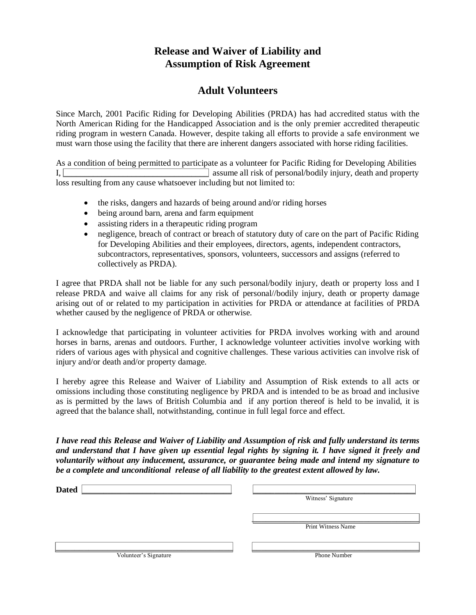# **Release and Waiver of Liability and Assumption of Risk Agreement**

## **Adult Volunteers**

Since March, 2001 Pacific Riding for Developing Abilities (PRDA) has had accredited status with the North American Riding for the Handicapped Association and is the only premier accredited therapeutic riding program in western Canada. However, despite taking all efforts to provide a safe environment we must warn those using the facility that there are inherent dangers associated with horse riding facilities.

As a condition of being permitted to participate as a volunteer for Pacific Riding for Developing Abilities I,  $\Box$ loss resulting from any cause whatsoever including but not limited to:

- the risks, dangers and hazards of being around and/or riding horses
- being around barn, arena and farm equipment
- assisting riders in a therapeutic riding program
- negligence, breach of contract or breach of statutory duty of care on the part of Pacific Riding for Developing Abilities and their employees, directors, agents, independent contractors, subcontractors, representatives, sponsors, volunteers, successors and assigns (referred to collectively as PRDA).

I agree that PRDA shall not be liable for any such personal/bodily injury, death or property loss and I release PRDA and waive all claims for any risk of personal//bodily injury, death or property damage arising out of or related to my participation in activities for PRDA or attendance at facilities of PRDA whether caused by the negligence of PRDA or otherwise.

I acknowledge that participating in volunteer activities for PRDA involves working with and around horses in barns, arenas and outdoors. Further, I acknowledge volunteer activities involve working with riders of various ages with physical and cognitive challenges. These various activities can involve risk of injury and/or death and/or property damage.

I hereby agree this Release and Waiver of Liability and Assumption of Risk extends to all acts or omissions including those constituting negligence by PRDA and is intended to be as broad and inclusive as is permitted by the laws of British Columbia and if any portion thereof is held to be invalid, it is agreed that the balance shall, notwithstanding, continue in full legal force and effect.

*I have read this Release and Waiver of Liability and Assumption of risk and fully understand its terms and understand that I have given up essential legal rights by signing it. I have signed it freely and voluntarily without any inducement, assurance, or guarantee being made and intend my signature to be a complete and unconditional release of all liability to the greatest extent allowed by law.*

| <b>Dated</b> |                    |
|--------------|--------------------|
|              | Witness' Signature |
|              |                    |
|              | Print Witness Name |
|              |                    |
|              |                    |
|              |                    |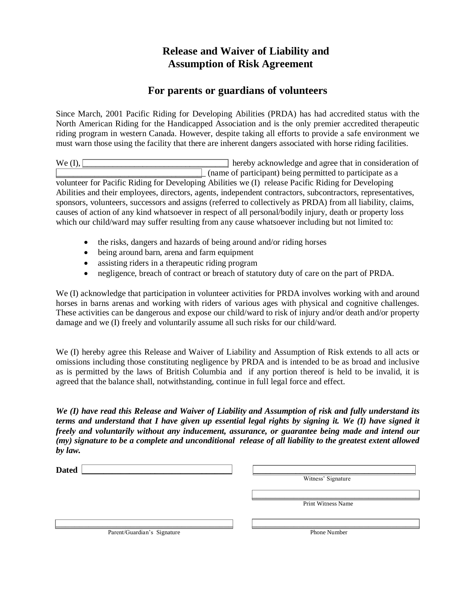# **Release and Waiver of Liability and Assumption of Risk Agreement**

## **For parents or guardians of volunteers**

Since March, 2001 Pacific Riding for Developing Abilities (PRDA) has had accredited status with the North American Riding for the Handicapped Association and is the only premier accredited therapeutic riding program in western Canada. However, despite taking all efforts to provide a safe environment we must warn those using the facility that there are inherent dangers associated with horse riding facilities.

We  $(I)$ ,  $\Box$  hereby acknowledge and agree that in consideration of

 $\Box$  (name of participant) being permitted to participate as a volunteer for Pacific Riding for Developing Abilities we (I) release Pacific Riding for Developing Abilities and their employees, directors, agents, independent contractors, subcontractors, representatives, sponsors, volunteers, successors and assigns (referred to collectively as PRDA) from all liability, claims, causes of action of any kind whatsoever in respect of all personal/bodily injury, death or property loss which our child/ward may suffer resulting from any cause whatsoever including but not limited to:

- the risks, dangers and hazards of being around and/or riding horses
- being around barn, arena and farm equipment
- assisting riders in a therapeutic riding program
- negligence, breach of contract or breach of statutory duty of care on the part of PRDA.

We (I) acknowledge that participation in volunteer activities for PRDA involves working with and around horses in barns arenas and working with riders of various ages with physical and cognitive challenges. These activities can be dangerous and expose our child/ward to risk of injury and/or death and/or property damage and we (I) freely and voluntarily assume all such risks for our child/ward.

We (I) hereby agree this Release and Waiver of Liability and Assumption of Risk extends to all acts or omissions including those constituting negligence by PRDA and is intended to be as broad and inclusive as is permitted by the laws of British Columbia and if any portion thereof is held to be invalid, it is agreed that the balance shall, notwithstanding, continue in full legal force and effect.

*We (I) have read this Release and Waiver of Liability and Assumption of risk and fully understand its terms and understand that I have given up essential legal rights by signing it. We (I) have signed it freely and voluntarily without any inducement, assurance, or guarantee being made and intend our (my) signature to be a complete and unconditional release of all liability to the greatest extent allowed by law.*

| <b>Dated</b>                |                     |
|-----------------------------|---------------------|
|                             | Witness' Signature  |
|                             |                     |
|                             | Print Witness Name  |
|                             |                     |
|                             |                     |
| Parent/Guardian's Signature | <b>Phone Number</b> |